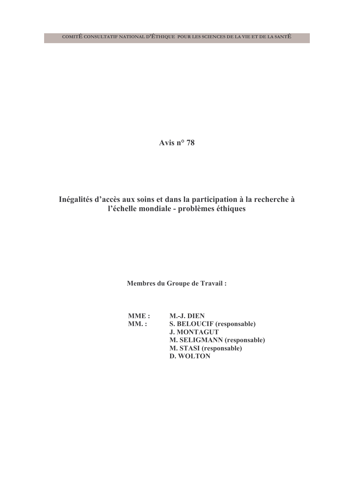Avis  $n^{\circ}$  78

# Inégalités d'accès aux soins et dans la participation à la recherche à l'échelle mondiale - problèmes éthiques

Membres du Groupe de Travail :

**MME:** M.-J. DIEN S. BELOUCIF (responsable)  $MM.:$ **J. MONTAGUT M. SELIGMANN (responsable)** M. STASI (responsable) **D. WOLTON**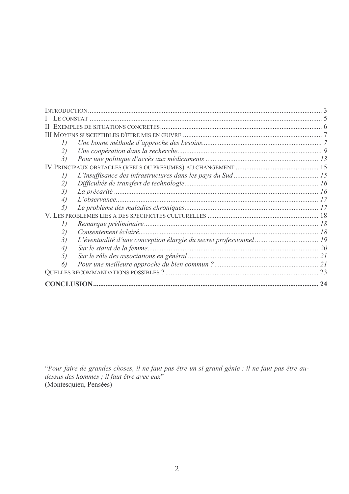| I)             |    |
|----------------|----|
| 2)             |    |
| 3)             |    |
|                |    |
| $\iota$        |    |
| 2)             |    |
| 3)             |    |
| $\overline{A}$ |    |
| 5)             |    |
|                |    |
| $\iota$        |    |
| 2)             |    |
| 3)             |    |
| 4)             |    |
| 5)             |    |
| 6)             |    |
|                |    |
|                | 24 |

"Pour faire de grandes choses, il ne faut pas être un si grand génie : il ne faut pas être au-<br>dessus des hommes ; il faut être avec eux" (Montesquieu, Pensées)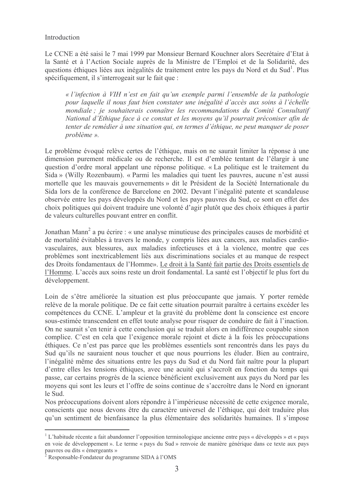#### Introduction

Le CCNE a été saisi le 7 mai 1999 par Monsieur Bernard Kouchner alors Secrétaire d'Etat à la Santé et à l'Action Sociale auprès de la Ministre de l'Emploi et de la Solidarité, des questions éthiques liées aux inégalités de traitement entre les pays du Nord et du Sud<sup>1</sup>. Plus spécifiquement, il s'interrogeait sur le fait que :

« l'infection à VIH n'est en fait qu'un exemple parmi l'ensemble de la pathologie pour laquelle il nous faut bien constater une inégalité d'accès aux soins à l'échelle mondiale ; je souhaiterais connaître les recommandations du Comité Consultatif National d'Ethique face à ce constat et les moyens qu'il pourrait préconiser afin de tenter de remédier à une situation qui, en termes d'éthique, ne peut manquer de poser problème ».

Le problème évoqué relève certes de l'éthique, mais on ne saurait limiter la réponse à une dimension purement médicale ou de recherche. Il est d'emblée tentant de l'élargir à une question d'ordre moral appelant une réponse politique. « La politique est le traitement du Sida » (Willy Rozenbaum). « Parmi les maladies qui tuent les pauvres, aucune n'est aussi mortelle que les mauvais gouvernements » dit le Président de la Société Internationale du Sida lors de la conférence de Barcelone en 2002. Devant l'inégalité patente et scandaleuse observée entre les pays développés du Nord et les pays pauvres du Sud, ce sont en effet des choix politiques qui doivent traduire une volonté d'agir plutôt que des choix éthiques à partir de valeurs culturelles pouvant entrer en conflit.

Jonathan Mann<sup>2</sup> a pu écrire : « une analyse minutieuse des principales causes de morbidité et de mortalité évitables à travers le monde, y compris liées aux cancers, aux maladies cardiovasculaires, aux blessures, aux maladies infectieuses et à la violence, montre que ces problèmes sont inextricablement liés aux discriminations sociales et au manque de respect des Droits fondamentaux de l'Homme». Le droit à la Santé fait partie des Droits essentiels de l'Homme. L'accès aux soins reste un droit fondamental. La santé est l'objectif le plus fort du développement.

Loin de s'être améliorée la situation est plus préoccupante que jamais. Y porter remède relève de la morale politique. De ce fait cette situation pourrait paraître à certains excéder les compétences du CCNE. L'ampleur et la gravité du problème dont la conscience est encore sous-estimée transcendent en effet toute analyse pour risquer de conduire de fait à l'inaction. On ne saurait s'en tenir à cette conclusion qui se traduit alors en indifférence coupable sinon complice. C'est en cela que l'exigence morale rejoint et dicte à la fois les préoccupations éthiques. Ce n'est pas parce que les problèmes essentiels sont rencontrés dans les pays du Sud qu'ils ne sauraient nous toucher et que nous pourrions les éluder. Bien au contraire, l'inégalité même des situations entre les pays du Sud et du Nord fait naître pour la plupart d'entre elles les tensions éthiques, avec une acuité qui s'accroît en fonction du temps qui passe, car certains progrès de la science bénéficient exclusivement aux pays du Nord par les moyens qui sont les leurs et l'offre de soins continue de s'accroître dans le Nord en ignorant le Sud

Nos préoccupations doivent alors répondre à l'impérieuse nécessité de cette exigence morale. conscients que nous devons être du caractère universel de l'éthique, qui doit traduire plus qu'un sentiment de bienfaisance la plus élémentaire des solidarités humaines. Il s'impose

<sup>&</sup>lt;sup>1</sup> L'habitude récente a fait abandonner l'opposition terminologique ancienne entre pays « développés » et « pays en voie de développement ». Le terme « pays du Sud » renvoie de manière générique dans ce texte aux pays pauvres ou dits « émergeants »

Responsable-Fondateur du programme SIDA à l'OMS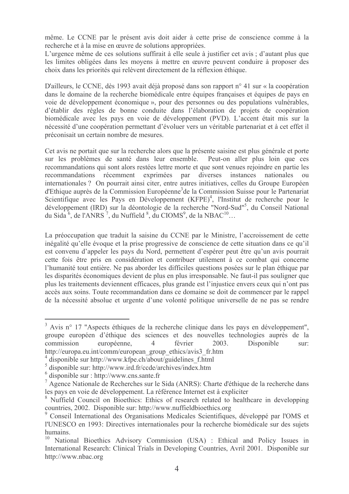même. Le CCNE par le présent avis doit aider à cette prise de conscience comme à la recherche et à la mise en œuvre de solutions appropriées.

L'urgence même de ces solutions suffirait à elle seule à justifier cet avis ; d'autant plus que les limites obligées dans les moyens à mettre en œuvre peuvent conduire à proposer des choix dans les priorités qui relèvent directement de la réflexion éthique.

D'ailleurs, le CCNE, dès 1993 avait déjà proposé dans son rapport n° 41 sur « la coopération dans le domaine de la recherche biomédicale entre équipes françaises et équipes de pays en voie de développement économique », pour des personnes ou des populations vulnérables, d'établir des règles de bonne conduite dans l'élaboration de projets de coopération biomédicale avec les pays en voie de développement (PVD). L'accent était mis sur la nécessité d'une coopération permettant d'évoluer vers un véritable partenariat et à cet effet il préconisait un certain nombre de mesures.

Cet avis ne portait que sur la recherche alors que la présente saisine est plus générale et porte sur les problèmes de santé dans leur ensemble. Peut-on aller plus loin que ces recommandations qui sont alors restées lettre morte et que sont venues rejoindre en partie les recommandations récemment exprimées par diverses instances nationales  $\Omega$ internationales ? On pourrait ainsi citer, entre autres initiatives, celles du Groupe Européen d'Ethique auprès de la Commission Européenne<sup>3</sup> de la Commission Suisse pour le Partenariat Scientifique avec les Pays en Développement (KFPE)<sup>4</sup>, l'Institut de recherche pour le développement (IRD) sur la déontologie de la recherche "Nord-Sud"<sup>5</sup>, du Conseil National du Sida<sup>6</sup>, de l'ANRS<sup>7</sup>, du Nuffield<sup>8</sup>, du CIOMS<sup>9</sup>, de la NBAC<sup>10</sup>...

La préoccupation que traduit la saisine du CCNE par le Ministre, l'accroissement de cette inégalité qu'elle évoque et la prise progressive de conscience de cette situation dans ce qu'il est convenu d'appeler les pays du Nord, permettent d'espèrer peut être qu'un avis pourrait cette fois être pris en considération et contribuer utilement à ce combat qui concerne l'humanité tout entière. Ne pas aborder les difficiles questions posées sur le plan éthique par les disparités économiques devient de plus en plus irresponsable. Ne faut-il pas souligner que plus les traitements deviennent efficaces, plus grande est l'injustice envers ceux qui n'ont pas accès aux soins. Toute recommandation dans ce domaine se doit de commencer par le rappel de la nécessité absolue et urgente d'une volonté politique universelle de ne pas se rendre

<sup>&</sup>lt;sup>3</sup> Avis n° 17 "Aspects éthiques de la recherche clinique dans les pays en développement", groupe européen d'éthique des sciences et des nouvelles technologies auprès de la commission européenne,  $\overline{4}$ février 2003. Disponible sur: http://europa.eu.int/comm/european group ethics/avis3 fr.htm

 $4$  disponible sur http://www.kfpe.ch/about/guidelines f.html

 $5$  disponible sur: http://www.ird.fr/ccde/archives/index.htm

 $\frac{6}{10}$  disponible sur : http://www.cns.sante.fr

<sup>7</sup> Agence Nationale de Recherches sur le Sida (ANRS): Charte d'éthique de la recherche dans les pays en voie de développement. La référence Internet est à expliciter

<sup>&</sup>lt;sup>8</sup> Nuffield Council on Bioethics: Ethics of research related to healthcare in developping countries, 2002. Disponible sur: http://www.nuffieldbioethics.org

<sup>&</sup>lt;sup>9</sup> Conseil International des Organisations Medicales Scientifiques, développé par l'OMS et l'UNESCO en 1993: Directives internationales pour la recherche biomédicale sur des sujets humains.

<sup>&</sup>lt;sup>10</sup> National Bioethics Advisory Commission (USA) : Ethical and Policy Issues in International Research: Clinical Trials in Developing Countries, Avril 2001. Disponible sur http://www.nbac.org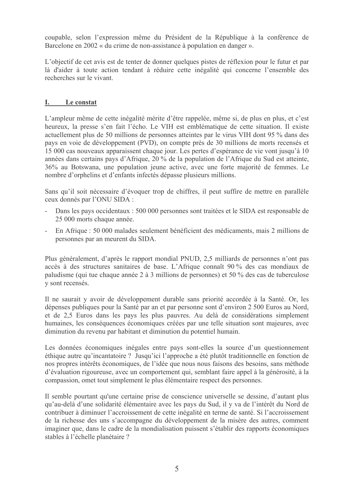coupable, selon l'expression même du Président de la République à la conférence de Barcelone en 2002 « du crime de non-assistance à population en danger ».

L'objectif de cet avis est de tenter de donner quelques pistes de réflexion pour le futur et par là d'aider à toute action tendant à réduire cette inégalité qui concerne l'ensemble des recherches sur le vivant.

#### Le constat **I.**

L'ampleur même de cette inégalité mérite d'être rappelée, même si, de plus en plus, et c'est heureux, la presse s'en fait l'écho. Le VIH est emblématique de cette situation. Il existe actuellement plus de 50 millions de personnes atteintes par le virus VIH dont 95 % dans des pays en voie de développement (PVD), on compte près de 30 millions de morts recensés et 15 000 cas nouveaux apparaissent chaque jour. Les pertes d'espérance de vie vont jusqu'à 10 années dans certains pays d'Afrique, 20 % de la population de l'Afrique du Sud est atteinte, 36% au Botswana, une population jeune active, avec une forte majorité de femmes. Le nombre d'orphelins et d'enfants infectés dépasse plusieurs millions.

Sans qu'il soit nécessaire d'évoquer trop de chiffres, il peut suffire de mettre en parallèle ceux donnés par l'ONU SIDA :

- Dans les pays occidentaux : 500 000 personnes sont traitées et le SIDA est responsable de 25 000 morts chaque année.
- En Afrique : 50 000 malades seulement bénéficient des médicaments, mais 2 millions de personnes par an meurent du SIDA.

Plus généralement, d'après le rapport mondial PNUD, 2,5 milliards de personnes n'ont pas accès à des structures sanitaires de base. L'Afrique connaît 90% des cas mondiaux de paludisme (qui tue chaque année 2 à 3 millions de personnes) et 50 % des cas de tuberculose v sont recensés.

Il ne saurait y avoir de développement durable sans priorité accordée à la Santé. Or, les dépenses publiques pour la Santé par an et par personne sont d'environ 2 500 Euros au Nord, et de 2,5 Euros dans les pays les plus pauvres. Au delà de considérations simplement humaines, les conséquences économiques créées par une telle situation sont majeures, avec diminution du revenu par habitant et diminution du potentiel humain.

Les données économiques inégales entre pays sont-elles la source d'un questionnement éthique autre qu'incantatoire ? Jusqu'ici l'approche a été plutôt traditionnelle en fonction de nos propres intérêts économiques, de l'idée que nous nous faisons des besoins, sans méthode d'évaluation rigoureuse, avec un comportement qui, semblant faire appel à la générosité, à la compassion, omet tout simplement le plus élémentaire respect des personnes.

Il semble pourtant qu'une certaine prise de conscience universelle se dessine, d'autant plus qu'au-delà d'une solidarité élémentaire avec les pays du Sud, il y va de l'intérêt du Nord de contribuer à diminuer l'accroissement de cette inégalité en terme de santé. Si l'accroissement de la richesse des uns s'accompagne du développement de la misère des autres, comment imaginer que, dans le cadre de la mondialisation puissent s'établir des rapports économiques stables à l'échelle planétaire ?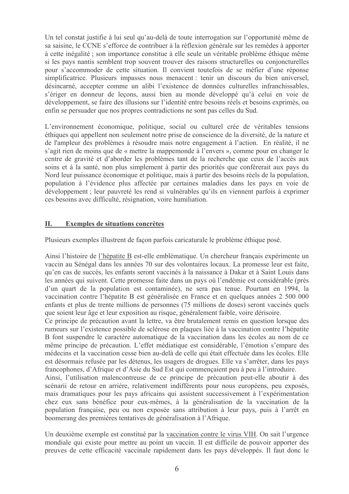Un tel constat justifie à lui seul qu'au-delà de toute interrogation sur l'opportunité même de sa saisine, le CCNE s'efforce de contribuer à la réflexion générale sur les remèdes à apporter à cette inégalité ; son importance constitue à elle seule un véritable problème éthique même  $\overline{s}$  i les pays nantis semblent trop souvent trouver des raisons structurelles ou conjoncturelles pour s'accommoder de cette situation. Il convient toutefois de se méfier d'une réponse simplificatrice. Plusieurs impasses nous menacent : tenir un discours du bien universel, désincarné, accepter comme un alibi l'existence de données culturelles infranchissables, s'ériger en donneur de leçons, aussi bien au monde développé qu'à celui en voie de développement, se faire des illusions sur l'identité entre besoins réels et besoins exprimés, ou enfin se persuader que nos propres contradictions ne sont pas celles du Sud.

L'environnement économique, politique, social ou culturel crée de véritables tensions ethiques qui appellent non seulement notre prise de conscience de la diversité, de la nature et de l'ampleur des problèmes à résoudre mais notre engagement à l'action. En réalité, il ne s'agit rien de moins que de « mettre la mappemonde à l'envers », comme pour en changer le centre de gravité et d'aborder les problèmes tant de la recherche que ceux de l'accès aux soins et à la santé, non plus simplement à partir des priorités que conférerait aux pays du Nord leur puissance économique et politique, mais à partir des besoins réels de la population, bopulation à l'évidence plus affectée par certaines maladies dans les pays en voie de développement ; leur pauvreté les rend si vulnérables qu'ils en viennent parfois à exprimer  $\cos$  besoins avec difficulté, résignation, voire humiliation.

#### <u>II</u> Exemples de situations concrètes

Plusieurs exemples illustrent de façon parfois caricaturale le problème éthique posé.

Ainsi l'histoire de l'hépatite B est-elle emblématique. Un chercheur français expérimente un vaccin au Sénégal dans les années 70 sur des volontaires locaux. La promesse leur est faite, qu'en cas de succès, les enfants seront vaccinés à la naissance à Dakar et à Saint Louis dans les années qui suivent. Cette promesse faite dans un pays où l'endémie est considérable (près d'un quart de la population est contaminée), ne sera pas tenue. Pourtant en 1994, la vaccination contre l'hépatite B est généralisée en France et en quelques années 2 500 000 enfants et plus de trente millions de personnes (75 millions de doses) seront vaccinés quels que soient leur âge et leur exposition au risque, généralement faible, voire dérisoire.

Ce principe de précaution avant la lettre, va être brutalement remis en question lorsque des rumeurs sur l'existence possible de sclérose en plaques liée à la vaccination contre l'hépatite B font suspendre le caractère automatique de la vaccination dans les écoles au nom de ce même principe de précaution. L'effet médiatique est considérable. l'émotion s'empare des médecins et la vaccination cesse bien au-delà de celle qui était effectuée dans les écoles. Elle est désormais refusée par les détenus, les usagers de drogues. Elle va s'arrêter, dans les pays francophones, d'Afrique et d'Asie du Sud Est qui commençaient peu à peu à l'introduire.

Ainsi, l'utilisation malencontreuse de ce principe de précaution peut-elle aboutir à des scénarii de retour en arrière, relativement indifférents pour nous européens, peu exposés, mais dramatiques pour les pays africains qui assistent successivement à l'expérimentation chez eux sans bénéfice pour eux-mêmes, à la généralisation de la vaccination de la population française, peu ou non exposée sans attribution à leur pays, puis à l'arrêt en boomerang des premières tentatives de généralisation à l'Afrique.

Un deuxième exemple est constitué par la vaccination contre le virus VIH. On sait l'urgence mondiale qui existe pour mettre au point un vaccin. Il est difficile de pouvoir apporter des preuves de cette efficacité vaccinale rapidement dans les pays développés. Il faut donc le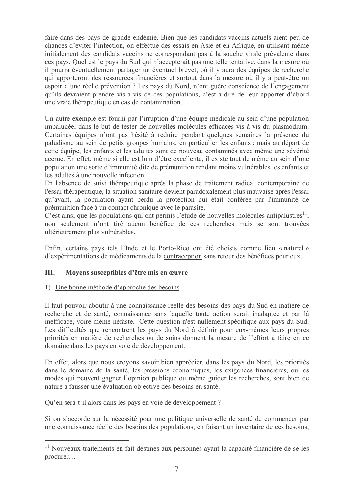faire dans des pays de grande endémie. Bien que les candidats vaccins actuels aient peu de chances d'éviter l'infection, on effectue des essais en Asie et en Afrique, en utilisant même initialement des candidats vaccins ne correspondant pas à la souche virale prévalente dans  $\cos$  pays. Ouel est le pays du Sud qui n'accepterait pas une telle tentative, dans la mesure où il pourra éventuellement partager un éventuel brevet, où il y aura des équipes de recherche qui apporteront des ressources financières et surtout dans la mesure où il y a peut-être un espoir d'une réelle prévention ? Les pays du Nord, n'ont guère conscience de l'engagement qu'ils devraient prendre vis-à-vis de ces populations, c'est-à-dire de leur apporter d'abord une vraie thérapeutique en cas de contamination.

Un autre exemple est fourni par l'irruption d'une équipe médicale au sein d'une population impaludée, dans le but de tester de nouvelles molécules efficaces vis-à-vis du plasmodium. Certaines équipes n'ont pas hésité à réduire pendant quelques semaines la présence du paludisme au sein de petits groupes humains, en particulier les enfants ; mais au départ de  $\overline{1}$ cette équipe, les enfants et les adultes sont de nouveau contaminés avec même une sévérité accrue. En effet, même si elle est loin d'être excellente, il existe tout de même au sein d'une  $\alpha$  population une sorte d'immunité dite de prémunition rendant moins vulnérables les enfants et les adultes à une nouvelle infection.

En l'absence de suivi thérapeutique après la phase de traitement radical contemporaine de l'essai thérapeutique, la situation sanitaire devient paradoxalement plus mauvaise après l'essai qu'avant, la population ayant perdu la protection qui était conférée par l'immunité de prémunition face à un contact chronique avec le parasite.

 $\tilde{C}$ 'est ainsi que les populations qui ont permis l'étude de nouvelles molécules antipalustres<sup>11</sup>, non seulement n'ont tiré aucun bénéfice de ces recherches mais se sont trouvées ultérieurement plus vulnérables.

Enfin, certains pays tels l'Inde et le Porto-Rico ont été choisis comme lieu « naturel » d'expérimentations de médicaments de la contraception sans retour des bénéfices pour eux.

#### $\mathbf{II}$ <u>. Moyens susceptibles d'être mis en œuvre</u>

#### 1) Une bonne méthode d'approche des besoins

Il faut pouvoir aboutir à une connaissance réelle des besoins des pays du Sud en matière de recherche et de santé, connaissance sans laquelle toute action serait inadaptée et par là inefficace, voire même néfaste. Cette question n'est nullement spécifique aux pays du Sud. Les difficultés que rencontrent les pays du Nord à définir pour eux-mêmes leurs propres briorités en matière de recherches ou de soins donnent la mesure de l'effort à faire en ce domaine dans les pays en voie de développement.

En effet, alors que nous croyons savoir bien apprécier, dans les pays du Nord, les priorités dans le domaine de la santé, les pressions économiques, les exigences financières, ou les modes qui peuvent gagner l'opinion publique ou même guider les recherches, sont bien de nature à fausser une évaluation objective des besoins en santé.

Ou'en sera-t-il alors dans les pays en voie de développement ?

Si on s'accorde sur la nécessité pour une politique universelle de santé de commencer par une connaissance réelle des besoins des populations, en faisant un inventaire de ces besoins,

 $^{11}$  Nouveaux traitements en fait destinés aux personnes ayant la capacité financière de se les procurer...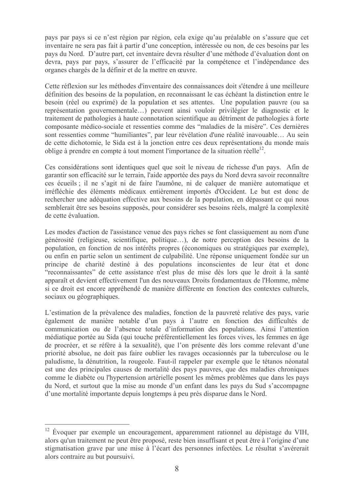pays par pays si ce n'est région par région, cela exige qu'au préalable on s'assure que cet inventaire ne sera pas fait à partir d'une conception, intéressée ou non, de ces besoins par les pays du Nord. D'autre part, cet inventaire devra résulter d'une méthode d'évaluation dont on devra, pays par pays, s'assurer de l'efficacité par la compétence et l'indépendance des organes chargés de la définir et de la mettre en œuvre.

Cette réflexion sur les méthodes d'inventaire des connaissances doit s'étendre à une meilleure définition des besoins de la population, en reconnaissant le cas échéant la distinction entre le besoin (réel ou exprimé) de la population et ses attentes. Une population pauvre (ou sa représentation gouvernementale...) peuvent ainsi vouloir privilégier le diagnostic et le traitement de pathologies à haute connotation scientifique au détriment de pathologies à forte composante médico-sociale et ressenties comme des "maladies de la misère". Ces dernières sont ressenties comme "humiliantes", par leur révélation d'une réalité inavouable... Au sein de cette dichotomie, le Sida est à la jonction entre ces deux représentations du monde mais oblige à prendre en compte à tout moment l'importance de la situation réelle<sup>12</sup>.

Ces considérations sont identiques quel que soit le niveau de richesse d'un pays. Afin de garantir son efficacité sur le terrain, l'aide apportée des pays du Nord devra savoir reconnaître  $\cos$  écueils ; il ne s'agit ni de faire l'aumône, ni de calquer de manière automatique et irréfléchie des éléments médicaux entièrement importés d'Occident. Le but est donc de rechercher une adéquation effective aux besoins de la population, en dépassant ce qui nous semblerait être ses besoins supposés, pour considérer ses besoins réels, malgré la complexité de cette évaluation

Les modes d'action de l'assistance venue des pays riches se font classiquement au nom d'une générosité (religieuse, scientifique, politique...), de notre perception des besoins de la bopulation, en fonction de nos intérêts propres (économiques ou stratégiques par exemple), ou enfin en partie selon un sentiment de culpabilité. Une réponse uniquement fondée sur un principe de charité destiné à des populations inconscientes de leur état et donc "reconnaissantes" de cette assistance n'est plus de mise dès lors que le droit à la santé apparaît et devient effectivement l'un des nouveaux Droits fondamentaux de l'Homme, même si ce droit est encore appréhendé de manière différente en fonction des contextes culturels, sociaux ou géographiques.

L'estimation de la prévalence des maladies, fonction de la pauvreté relative des pays, varie exalement de manière notable d'un pays à l'autre en fonction des difficultés de communication ou de l'absence totale d'information des populations. Ainsi l'attention médiatique portée au Sida (qui touche préférentiellement les forces vives, les femmes en âge de procréer, et se réfère à la sexualité), que l'on présente dès lors comme relevant d'une priorité absolue, ne doit pas faire oublier les ravages occasionnés par la tuberculose ou le paludisme, la dénutrition, la rougeole. Faut-il rappeler par exemple que le tétanos néonatal est une des principales causes de mortalité des pays pauvres, que des maladies chroniques  $\overline{1}$ comme le diabète ou l'hypertension artérielle posent les mêmes problèmes que dans les pays du Nord, et surtout que la mise au monde d'un enfant dans les pays du Sud s'accompagne d'une mortalité importante depuis longtemps à peu près disparue dans le Nord.

<sup>&</sup>lt;sup>12</sup> Évoquer par exemple un encouragement, apparemment rationnel au dépistage du VIH, alors qu'un traitement ne peut être proposé, reste bien insuffisant et peut être à l'origine d'une stigmatisation grave par une mise à l'écart des personnes infectées. Le résultat s'avérerait alors contraire au but poursuivi.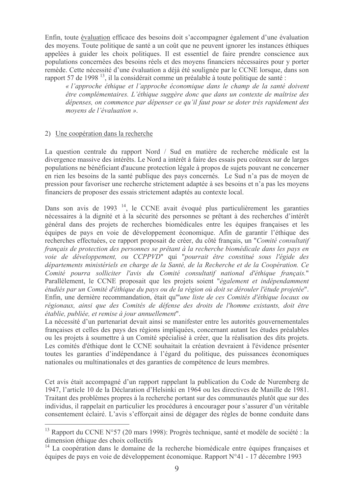Enfin, toute évaluation efficace des besoins doit s'accompagner également d'une évaluation des moyens. Toute politique de santé a un coût que ne peuvent ignorer les instances éthiques appelées à guider les choix politiques. Il est essentiel de faire prendre conscience aux  $8'$ populations concernées des besoins réels et des moyens financiers nécessaires pour y porter remède. Cette nécessité d'une évaluation a déjà été soulignée par le CCNE lorsque, dans son rapport 57 de 1998 $^{13}$ , il la considérait comme un préalable à toute politique de santé :

« l'approche éthique et l'approche économique dans le champ de la santé doivent être complémentaires. L'éthique suggère donc que dans un contexte de maîtrise des dépenses, on commence par dépenser ce qu'il faut pour se doter très rapidement des moyens de l'évaluation ».

#### 2) Une coopération dans la recherche

La question centrale du rapport Nord / Sud en matière de recherche médicale est la divergence massive des intérêts. Le Nord a intérêt à faire des essais peu coûteux sur de larges  $\alpha$ Bopulations ne bénéficiant d'aucune protection légale à propos de sujets pouvant ne concerner en rien les besoins de la santé publique des pays concernés. Le Sud n'a pas de moyen de pression pour favoriser une recherche strictement adaptée à ses besoins et n'a pas les moyens financiers de proposer des essais strictement adaptés au contexte local.

Dans son avis de 1993<sup>14</sup>, le CCNE avait évoqué plus particulièrement les garanties nécessaires à la dignité et à la sécurité des personnes se prêtant à des recherches d'intérêt général dans des projets de recherches biomédicales entre les équipes françaises et les équipes de pays en voie de développement économique. Afin de garantir l'éthique des recherches effectuées, ce rapport proposait de créer, du côté français, un "Comité consultatif français de protection des personnes se prêtant à la recherche biomédicale dans les pays en voie de développement, ou CCPPVD" qui "pourrait être constitué sous l'égide des départements ministériels en charge de la Santé, de la Recherche et de la Coopération. Ce Comité pourra solliciter l'avis du Comité consultatif national d'éthique français." Parallèlement, le CCNE proposait que les projets soient "également et indépendamment étudiés par un Comité d'éthique du pays ou de la région où doit se dérouler l'étude projetée". Enfin, une dernière recommandation, était qu'''une liste de ces Comités d'éthique locaux ou régionaux, ainsi que des Comités de défense des droits de l'homme existants, doit être établie, publiée, et remise à jour annuellement".

La nécessité d'un partenariat devait ainsi se manifester entre les autorités gouvernementales françaises et celles des pays des régions impliquées, concernant autant les études préalables ou les projets à soumettre à un Comité spécialisé à créer, que la réalisation des dits projets. Les comités d'éthique dont le CCNE souhaitait la création devraient à l'évidence présenter toutes les garanties d'indépendance à l'égard du politique, des puissances économiques nationales ou multinationales et des garanties de compétence de leurs membres.

Cet avis était accompagné d'un rapport rappelant la publication du Code de Nuremberg de 1947, l'article 10 de la Déclaration d'Helsinki en 1964 ou les directives de Manille de 1981. Traitant des problèmes propres à la recherche portant sur des communautés plutôt que sur des individus, il rappelait en particulier les procédures à encourager pour s'assurer d'un véritable consentement éclairé. L'avis s'efforcait ainsi de dégager des règles de bonne conduite dans

<sup>&</sup>lt;sup>13</sup> Rapport du CCNE N°57 (20 mars 1998): Progrès technique, santé et modèle de société : la dimension éthique des choix collectifs

 $^{14}$  La coopération dans le domaine de la recherche biomédicale entre équipes françaises et équipes de pays en voie de développement économique. Rapport  $N^{\circ}41$  - 17 décembre 1993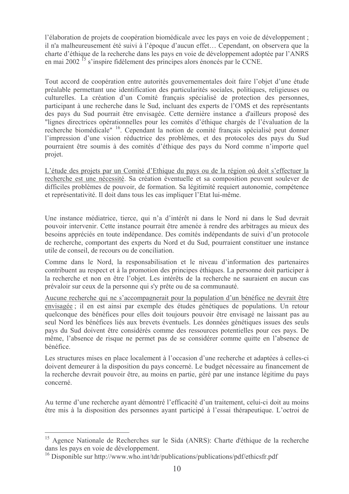l'élaboration de projets de coopération biomédicale avec les pays en voie de développement ; il n'a malheureusement été suivi à l'époque d'aucun effet... Cependant, on observera que la charte d'éthique de la recherche dans les pays en voie de développement adoptée par l'ANRS en mai 2002 <sup>15</sup> s'inspire fidèlement des principes alors énoncés par le CCNE.

Tout accord de coopération entre autorités gouvernementales doit faire l'objet d'une étude préalable permettant une identification des particularités sociales, politiques, religieuses ou culturelles. La création d'un Comité français spécialisé de protection des personnes, participant à une recherche dans le Sud, incluant des experts de l'OMS et des représentants des pays du Sud pourrait être envisagée. Cette dernière instance a d'ailleurs proposé des "lignes directrices opérationnelles pour les comités d'éthique chargés de l'évaluation de la recherche biomédicale" <sup>16</sup>. Cependant la notion de comité français spécialisé peut donner l'impression d'une vision réductrice des problèmes, et des protocoles des pays du Sud pourraient être soumis à des comités d'éthique des pays du Nord comme n'importe quel projet.

L'étude des projets par un Comité d'Ethique du pays ou de la région où doit s'effectuer la recherche est une nécessité. Sa création éventuelle et sa composition peuvent soulever de difficiles problèmes de pouvoir, de formation. Sa légitimité requiert autonomie, compétence et représentativité. Il doit dans tous les cas impliquer l'Etat lui-même.

Une instance médiatrice, tierce, qui n'a d'intérêt ni dans le Nord ni dans le Sud devrait pouvoir intervenir. Cette instance pourrait être amenée à rendre des arbitrages au mieux des besoins appréciés en toute indépendance. Des comités indépendants de suivi d'un protocole de recherche, comportant des experts du Nord et du Sud, pourraient constituer une instance utile de conseil, de recours ou de conciliation.

Comme dans le Nord, la responsabilisation et le niveau d'information des partenaires contribuent au respect et à la promotion des principes éthiques. La personne doit participer à la recherche et non en être l'objet. Les intérêts de la recherche ne sauraient en aucun cas prévaloir sur ceux de la personne qui s'y prête ou de sa communauté.

Aucune recherche qui ne s'accompagnerait pour la population d'un bénéfice ne devrait être envisagée ; il en est ainsi par exemple des études génétiques de populations. Un retour quelconque des bénéfices pour elles doit toujours pouvoir être envisagé ne laissant pas au seul Nord les bénéfices liés aux brevets éventuels. Les données génétiques issues des seuls pays du Sud doivent être considérés comme des ressources potentielles pour ces pays. De même, l'absence de risque ne permet pas de se considérer comme quitte en l'absence de bénéfice.

Les structures mises en place localement à l'occasion d'une recherche et adaptées à celles-ci doivent demeurer à la disposition du pays concerné. Le budget nécessaire au financement de la recherche devrait pouvoir être, au moins en partie, géré par une instance légitime du pays concerné.

Au terme d'une recherche avant démontré l'efficacité d'un traitement, celui-ci doit au moins être mis à la disposition des personnes ayant participé à l'essai thérapeutique. L'octroi de

<sup>&</sup>lt;sup>15</sup> Agence Nationale de Recherches sur le Sida (ANRS): Charte d'éthique de la recherche dans les pays en voie de développement.

<sup>&</sup>lt;sup>16</sup> Disponible sur http://www.who.int/tdr/publications/publications/pdf/ethicsfr.pdf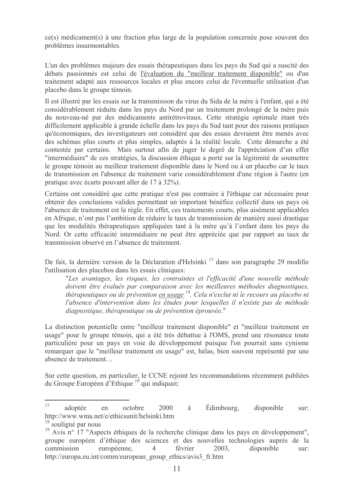$\cos(s)$  médicament(s) à une fraction plus large de la population concernée pose souvent des problèmes insurmontables.

L'un des problèmes majeurs des essais thérapeutiques dans les pays du Sud qui a suscité des débats passionnés est celui de l'évaluation du "meilleur traitement disponible" ou d'un traitement adapté aux ressources locales et plus encore celui de l'éventuelle utilisation d'un placebo dans le groupe témoin.

Il est illustré par les essais sur la transmission du virus du Sida de la mère à l'enfant, qui a été  $\alpha$ <sup>2</sup> considérablement réduite dans les pays du Nord par un traitement prolongé de la mère puis du nouveau-né par des médicaments antirétroviraux. Cette stratégie optimale étant très difficilement applicable à grande échelle dans les pays du Sud tant pour des raisons pratiques qu'économiques, des investigateurs ont considéré que des essais devraient être menés avec des schémas plus courts et plus simples, adaptés à la réalité locale. Cette démarche a été contestée par certains. Mais surtout afin de juger le degré de l'appréciation d'un effet "intermédiaire" de ces stratégies, la discussion éthique a porté sur la légitimité de soumettre le groupe témoin au meilleur traitement disponible dans le Nord ou à un placebo car le taux de transmission en l'absence de traitement varie considérablement d'une région à l'autre (en pratique avec écarts pouvant aller de 17 à 32%).

Certains ont considéré que cette pratique n'est pas contraire à l'éthique car nécessaire pour obtenir des conclusions valides permettant un important bénéfice collectif dans un pays où l'absence de traitement est la règle. En effet, ces traitements courts, plus aisément applicables en Afrique, n'ont pas l'ambition de réduire le taux de transmission de manière aussi drastique que les modalités thérapeutiques appliquées tant à la mère qu'à l'enfant dans les pays du Nord. Or cette efficacité intermédiaire ne peut être appréciée que par rapport au taux de transmission observé en l'absence de traitement.

De fait, la dernière version de la Déclaration d'Helsinki<sup>17</sup> dans son paragraphe 29 modifie l'utilisation des placebos dans les essais cliniques:

"Les avantages, les risques, les contraintes et l'efficacité d'une nouvelle méthode doivent être évalués par comparaison avec les meilleures méthodes diagnostiques, thérapeutiques ou de prévention en usage <sup>18</sup>. Cela n'exclut ni le recours au placebo ni l'absence d'intervention dans les études pour lesquelles il n'existe pas de méthode diagnostique, thérapeutique ou de prévention éprouvée."

La distinction potentielle entre "meilleur traitement disponible" et "meilleur traitement en usage" pour le groupe témoin, qui a été très débattue à l'OMS, prend une résonance toute particulière pour un pays en voie de développement puisque l'on pourrait sans cynisme remarquer que le "meilleur traitement en usage" est, hélas, bien souvent représenté par une absence de traitement...

Sur cette question, en particulier, le CCNE rejoint les recommandations récemment publiées du Groupe Européen d'Ethique<sup>19</sup> qui indiquait:

<sup>&</sup>lt;sup>17</sup> adoptée en octobre 2000  $\dot{a}$  Edimbourg, disponible sur. http://www.wma.net/e/ethicsunit/helsinki.htm

<sup>&</sup>lt;sup>18</sup> souligné par nous

<sup>&</sup>lt;sup>19</sup> Avis n° 17 "Aspects éthiques de la recherche clinique dans les pays en développement", groupe européen d'éthique des sciences et des nouvelles technologies auprès de la commission européenne, 4 février 2003, disponible sur: http://europa.eu.int/comm/european group ethics/avis3 fr.htm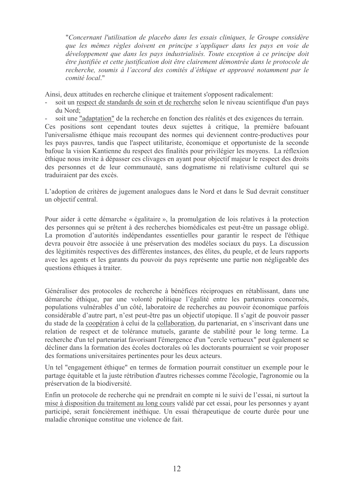"Concernant l'utilisation de placebo dans les essais cliniques, le Groupe considère que les mêmes règles doivent en principe s'appliquer dans les pays en voie de développement que dans les pays industrialisés. Toute exception à ce principe doit être justifiée et cette justification doit être clairement démontrée dans le protocole de recherche, soumis à l'accord des comités d'éthique et approuvé notamment par le comité local."

Ainsi, deux attitudes en recherche clinique et traitement s'opposent radicalement:

- soit un respect de standards de soin et de recherche selon le niveau scientifique d'un pays du Nord:
- soit une "adaptation" de la recherche en fonction des réalités et des exigences du terrain.

Ces positions sont cependant toutes deux sujettes à critique, la première bafouant l'universalisme éthique mais recoupant des normes qui deviennent contre-productives pour les pays pauvres, tandis que l'aspect utilitariste, économique et opportuniste de la seconde bafoue la vision Kantienne du respect des finalités pour privilégier les moyens. La réflexion éthique nous invite à dépasser ces clivages en ayant pour objectif majeur le respect des droits des personnes et de leur communauté, sans dogmatisme ni relativisme culturel qui se traduiraient par des excès.

L'adoption de critères de jugement analogues dans le Nord et dans le Sud devrait constituer un objectif central.

Pour aider à cette démarche « égalitaire », la promulgation de lois relatives à la protection des personnes qui se prêtent à des recherches biomédicales est peut-être un passage obligé. La promotion d'autorités indépendantes essentielles pour garantir le respect de l'éthique devra pouvoir être associée à une préservation des modèles sociaux du pays. La discussion des légitimités respectives des différentes instances, des élites, du peuple, et de leurs rapports avec les agents et les garants du pouvoir du pays représente une partie non négligeable des questions éthiques à traiter.

Généraliser des protocoles de recherche à bénéfices réciproques en rétablissant, dans une démarche éthique, par une volonté politique l'égalité entre les partenaires concernés, populations vulnérables d'un côté, laboratoire de recherches au pouvoir économique parfois considérable d'autre part, n'est peut-être pas un objectif utopique. Il s'agit de pouvoir passer du stade de la coopération à celui de la collaboration, du partenariat, en s'inscrivant dans une relation de respect et de tolérance mutuels, garante de stabilité pour le long terme. La recherche d'un tel partenariat favorisant l'émergence d'un "cercle vertueux" peut également se décliner dans la formation des écoles doctorales où les doctorants pourraient se voir proposer des formations universitaires pertinentes pour les deux acteurs.

Un tel "engagement éthique" en termes de formation pourrait constituer un exemple pour le partage équitable et la juste rétribution d'autres richesses comme l'écologie, l'agronomie ou la préservation de la biodiversité.

Enfin un protocole de recherche qui ne prendrait en compte ni le suivi de l'essai, ni surtout la mise à disposition du traitement au long cours validé par cet essai, pour les personnes y ayant participé, serait foncièrement inéthique. Un essai thérapeutique de courte durée pour une maladie chronique constitue une violence de fait.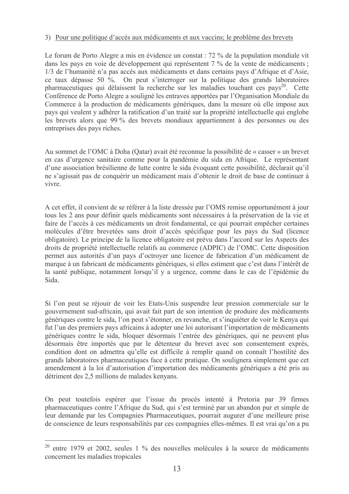#### 3) Pour une politique d'accès aux médicaments et aux vaccins; le problème des brevets

Le forum de Porto Alegre a mis en évidence un constat : 72 % de la population mondiale vit dans les pays en voie de développement qui représentent 7 % de la vente de médicaments ; 1/3 de l'humanité n'a pas accès aux médicaments et dans certains pays d'Afrique et d'Asie, ce taux dépasse 50 %. On peut s'interroger sur la politique des grands laboratoires pharmaceutiques qui délaissent la recherche sur les maladies touchant ces pays<sup>20</sup>. Cette Conférence de Porto Alegre a souligné les entraves apportées par l'Organisation Mondiale du Commerce à la production de médicaments génériques, dans la mesure où elle impose aux pays qui veulent y adhérer la ratification d'un traité sur la propriété intellectuelle qui englobe les brevets alors que  $99\%$  des brevets mondiaux appartiennent à des personnes ou des entreprises des pays riches.

Au sommet de l'OMC à Doha (Qatar) avait été reconnue la possibilité de « casser » un brevet en cas d'urgence sanitaire comme pour la pandémie du sida en Afrique. Le représentant d'une association brésilienne de lutte contre le sida évoquant cette possibilité, déclarait qu'il ne s'agissait pas de conquérir un médicament mais d'obtenir le droit de base de continuer à vivre

A cet effet, il convient de se référer à la liste dressée par l'OMS remise opportunément à jour tous les 2 ans pour définir quels médicaments sont nécessaires à la préservation de la vie et faire de l'accès à ces médicaments un droit fondamental, ce qui pourrait empêcher certaines molécules d'être brevetées sans droit d'accès spécifique pour les pays du Sud (licence obligatoire). Le principe de la licence obligatoire est prévu dans l'accord sur les Aspects des droits de propriété intellectuelle relatifs au commerce (ADPIC) de l'OMC. Cette disposition permet aux autorités d'un pays d'octroyer une licence de fabrication d'un médicament de marque à un fabricant de médicaments génériques, si elles estiment que c'est dans l'intérêt de la santé publique, notamment lorsqu'il y a urgence, comme dans le cas de l'épidémie du Sida

Si l'on peut se réjouir de voir les Etats-Unis suspendre leur pression commerciale sur le gouvernement sud-africain, qui avait fait part de son intention de produire des médicaments génériques contre le sida, l'on peut s'étonner, en revanche, et s'inquiéter de voir le Kenya qui fut l'un des premiers pays africains à adopter une loi autorisant l'importation de médicaments génériques contre le sida, bloquer désormais l'entrée des génériques, qui ne peuvent plus désormais être importés que par le détenteur du brevet avec son consentement exprès. condition dont on admettra qu'elle est difficile à remplir quand on connaît l'hostilité des grands laboratoires pharmaceutiques face à cette pratique. On soulignera simplement que cet amendement à la loi d'autorisation d'importation des médicaments génériques a été pris au détriment des 2,5 millions de malades kenyans.

On peut toutefois espérer que l'issue du procès intenté à Pretoria par 39 firmes pharmaceutiques contre l'Afrique du Sud, qui s'est terminé par un abandon pur et simple de leur demande par les Compagnies Pharmaceutiques, pourrait augurer d'une meilleure prise de conscience de leurs responsabilités par ces compagnies elles-mêmes. Il est vrai qu'on a pu

 $^{20}$  entre 1979 et 2002, seules 1 % des nouvelles molécules à la source de médicaments concernent les maladies tropicales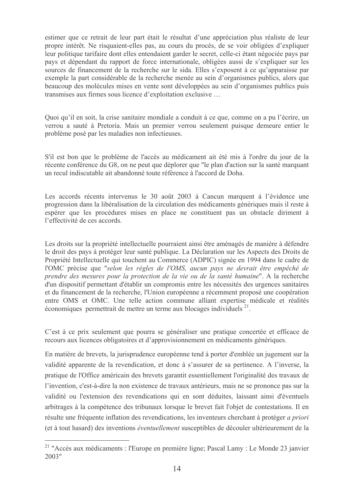estimer que ce retrait de leur part était le résultat d'une appréciation plus réaliste de leur propre intérêt. Ne risquaient-elles pas, au cours du procès, de se voir obligées d'expliquer leur politique tarifaire dont elles entendaient garder le secret, celle-ci étant négociée pays par pays et dépendant du rapport de force internationale, obligées aussi de s'expliquer sur les sources de financement de la recherche sur le sida. Elles s'exposent à ce qu'apparaisse par exemple la part considérable de la recherche menée au sein d'organismes publics, alors que beaucoup des molécules mises en vente sont développées au sein d'organismes publics puis transmises aux firmes sous licence d'exploitation exclusive ...

Quoi qu'il en soit, la crise sanitaire mondiale a conduit à ce que, comme on a pu l'écrire, un verrou a sauté à Pretoria. Mais un premier verrou seulement puisque demeure entier le problème posé par les maladies non infectieuses.

S'il est bon que le problème de l'accès au médicament ait été mis à l'ordre du jour de la récente conférence du G8, on ne peut que déplorer que "le plan d'action sur la santé marquant un recul indiscutable ait abandonné toute référence à l'accord de Doha

Les accords récents intervenus le 30 août 2003 à Cancun marquent à l'évidence une progression dans la libéralisation de la circulation des médicaments génériques mais il reste à espérer que les procédures mises en place ne constituent pas un obstacle diriment à l'effectivité de ces accords.

Les droits sur la propriété intellectuelle pourraient ainsi être aménagés de manière à défendre le droit des pays à protéger leur santé publique. La Déclaration sur les Aspects des Droits de Propriété Intellectuelle qui touchent au Commerce (ADPIC) signée en 1994 dans le cadre de l'OMC précise que "selon les règles de l'OMS, aucun pays ne devrait être empêché de prendre des mesures pour la protection de la vie ou de la santé humaine". A la recherche d'un dispositif permettant d'établir un compromis entre les nécessités des urgences sanitaires et du financement de la recherche, l'Union européenne a récemment proposé une coopération entre OMS et OMC. Une telle action commune alliant expertise médicale et réalités économiques permettrait de mettre un terme aux blocages individuels<sup>21</sup>.

C'est à ce prix seulement que pourra se généraliser une pratique concertée et efficace de recours aux licences obligatoires et d'approvisionnement en médicaments génériques.

En matière de brevets, la jurisprudence européenne tend à porter d'emblée un jugement sur la validité apparente de la revendication, et donc à s'assurer de sa pertinence. A l'inverse, la pratique de l'Office américain des brevets garantit essentiellement l'originalité des travaux de l'invention, c'est-à-dire la non existence de travaux antérieurs, mais ne se prononce pas sur la validité ou l'extension des revendications qui en sont déduites, laissant ainsi d'éventuels arbitrages à la compétence des tribunaux lorsque le brevet fait l'objet de contestations. Il en résulte une fréquente inflation des revendications, les inventeurs cherchant à protéger *a priori* (et à tout hasard) des inventions *éventuellement* susceptibles de découler ultérieurement de la

<sup>&</sup>lt;sup>21</sup> "Accès aux médicaments : l'Europe en première ligne; Pascal Lamy : Le Monde 23 janvier  $2003"$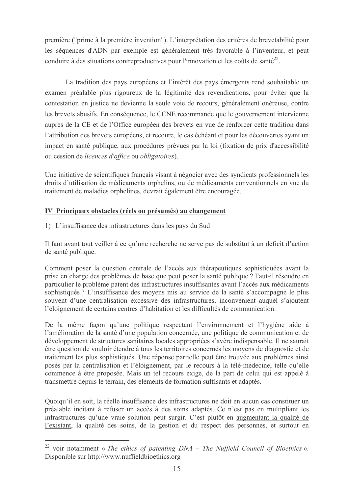première ("prime à la première invention"). L'interprétation des critères de brevetabilité pour les séquences d'ADN par exemple est généralement très favorable à l'inventeur, et peut conduire à des situations contreproductives pour l'innovation et les coûts de santé<sup>22</sup>.

La tradition des pays européens et l'intérêt des pays émergents rend souhaitable un examen préalable plus rigoureux de la légitimité des revendications, pour éviter que la contestation en justice ne devienne la seule voie de recours, généralement onéreuse, contre les brevets abusifs. En conséquence, le CCNE recommande que le gouvernement intervienne auprès de la CE et de l'Office européen des brevets en vue de renforcer cette tradition dans l'attribution des brevets européens, et recoure, le cas échéant et pour les découvertes ayant un impact en santé publique, aux procédures prévues par la loi (fixation de prix d'accessibilité ou cession de licences d'office ou obligatoires).

Une initiative de scientifiques français visant à négocier avec des syndicats professionnels les droits d'utilisation de médicaments orphelins, ou de médicaments conventionnels en vue du traitement de maladies orphelines, devrait également être encouragée.

### IV Principaux obstacles (réels ou présumés) au changement

1) L'insuffisance des infrastructures dans les pays du Sud

Il faut avant tout veiller à ce qu'une recherche ne serve pas de substitut à un déficit d'action de santé publique.

Comment poser la question centrale de l'accès aux thérapeutiques sophistiquées avant la prise en charge des problèmes de base que peut poser la santé publique ? Faut-il résoudre en particulier le problème patent des infrastructures insuffisantes avant l'accès aux médicaments sophistiqués? L'insuffisance des moyens mis au service de la santé s'accompagne le plus souvent d'une centralisation excessive des infrastructures, inconvénient auquel s'ajoutent l'éloignement de certains centres d'habitation et les difficultés de communication.

De la même façon qu'une politique respectant l'environnement et l'hygiène aide à l'amélioration de la santé d'une population concernée, une politique de communication et de développement de structures sanitaires locales appropriées s'avère indispensable. Il ne saurait être question de vouloir étendre à tous les territoires concernés les moyens de diagnostic et de traitement les plus sophistiqués. Une réponse partielle peut être trouvée aux problèmes ainsi posés par la centralisation et l'éloignement, par le recours à la télé-médecine, telle qu'elle commence à être proposée. Mais un tel recours exige, de la part de celui qui est appelé à transmettre depuis le terrain, des éléments de formation suffisants et adaptés.

Quoiqu'il en soit, la réelle insuffisance des infrastructures ne doit en aucun cas constituer un préalable incitant à refuser un accès à des soins adaptés. Ce n'est pas en multipliant les infrastructures qu'une vraie solution peut surgir. C'est plutôt en augmentant la qualité de l'existant, la qualité des soins, de la gestion et du respect des personnes, et surtout en

<sup>&</sup>lt;sup>22</sup> voir notamment « The ethics of patenting  $DNA$  – The Nuffield Council of Bioethics ». Disponible sur http://www.nuffieldbioethics.org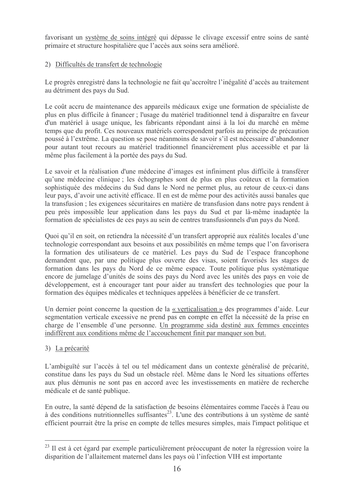favorisant un système de soins intégré qui dépasse le clivage excessif entre soins de santé primaire et structure hospitalière que l'accès aux soins sera amélioré.

# 2) Difficultés de transfert de technologie

Le progrès enregistré dans la technologie ne fait qu'accroître l'inégalité d'accès au traitement au détriment des pays du Sud.

Le coût accru de maintenance des appareils médicaux exige une formation de spécialiste de plus en plus difficile à financer ; l'usage du matériel traditionnel tend à disparaître en faveur d'un matériel à usage unique, les fabricants répondant ainsi à la loi du marché en même temps que du profit. Ces nouveaux matériels correspondent parfois au principe de précaution poussé à l'extrême. La question se pose néanmoins de savoir s'il est nécessaire d'abandonner pour autant tout recours au matériel traditionnel financièrement plus accessible et par là même plus facilement à la portée des pays du Sud.

Le savoir et la réalisation d'une médecine d'images est infiniment plus difficile à transférer qu'une médecine clinique : les échographes sont de plus en plus coûteux et la formation sophistiquée des médecins du Sud dans le Nord ne permet plus, au retour de ceux-ci dans leur pays, d'avoir une activité efficace. Il en est de même pour des activités aussi banales que la transfusion : les exigences sécuritaires en matière de transfusion dans notre pays rendent à peu près impossible leur application dans les pays du Sud et par là-même inadaptée la formation de spécialistes de ces pays au sein de centres transfusionnels d'un pays du Nord.

Quoi qu'il en soit, on retiendra la nécessité d'un transfert approprié aux réalités locales d'une technologie correspondant aux besoins et aux possibilités en même temps que l'on favorisera la formation des utilisateurs de ce matériel. Les pays du Sud de l'espace francophone demandent que, par une politique plus ouverte des visas, soient favorisés les stages de formation dans les pays du Nord de ce même espace. Toute politique plus systématique encore de jumelage d'unités de soins des pays du Nord avec les unités des pays en voie de développement, est à encourager tant pour aider au transfert des technologies que pour la formation des équipes médicales et techniques appelées à bénéficier de ce transfert.

Un dernier point concerne la question de la « verticalisation » des programmes d'aide. Leur segmentation verticale excessive ne prend pas en compte en effet la nécessité de la prise en charge de l'ensemble d'une personne. Un programme sida destiné aux femmes enceintes indifférent aux conditions même de l'accouchement finit par manquer son but.

#### 3) La précarité

L'ambiguïté sur l'accès à tel ou tel médicament dans un contexte généralisé de précarité, constitue dans les pays du Sud un obstacle réel. Même dans le Nord les situations offertes aux plus démunis ne sont pas en accord avec les investissements en matière de recherche médicale et de santé publique.

En outre, la santé dépend de la satisfaction de besoins élémentaires comme l'accès à l'eau ou à des conditions nutritionnelles suffisantes<sup>23</sup>. L'une des contributions à un système de santé efficient pourrait être la prise en compte de telles mesures simples, mais l'impact politique et

<sup>&</sup>lt;sup>23</sup> Il est à cet égard par exemple particulièrement préoccupant de noter la régression voire la disparition de l'allaitement maternel dans les pays où l'infection VIH est importante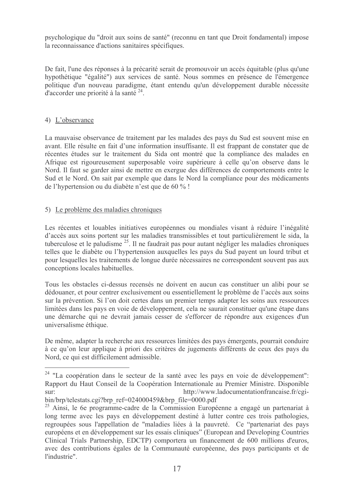$s$  psychologique du "droit aux soins de santé" (reconnu en tant que Droit fondamental) impose la reconnaissance d'actions sanitaires spécifiques.

De fait, l'une des réponses à la précarité serait de promouvoir un accès équitable (plus qu'une hypothétique "égalité") aux services de santé. Nous sommes en présence de l'émergence politique d'un nouveau paradigme, étant entendu qu'un développement durable nécessite d'accorder une priorité à la santé  $24$ .

### 4) L'observance

La mauvaise observance de traitement par les malades des pays du Sud est souvent mise en avant. Elle résulte en fait d'une information insuffisante. Il est frappant de constater que de récentes études sur le traitement du Sida ont montré que la compliance des malades en Afrique est rigoureusement superposable voire supérieure à celle qu'on observe dans le Nord. Il faut se garder ainsi de mettre en exergue des différences de comportements entre le Sud et le Nord. On sait par exemple que dans le Nord la compliance pour des médicaments de l'hypertension ou du diabète n'est que de  $60\%$ !

### $5)$  Le problème des maladies chroniques

Les récentes et louables initiatives européennes ou mondiales visant à réduire l'inégalité d'accès aux soins portent sur les maladies transmissibles et tout particulièrement le sida, la tuberculose et le paludisme  $^{25}$ . Il ne faudrait pas pour autant négliger les maladies chroniques telles que le diabète ou l'hypertension auxquelles les pays du Sud payent un lourd tribut et bour lesquelles les traitements de longue durée nécessaires ne correspondent souvent pas aux conceptions locales habituelles.

Tous les obstacles ci-dessus recensés ne doivent en aucun cas constituer un alibi pour se dédouaner, et pour centrer exclusivement ou essentiellement le problème de l'accès aux soins sur la prévention. Si l'on doit certes dans un premier temps adapter les soins aux ressources limitées dans les pays en voie de développement, cela ne saurait constituer qu'une étape dans une démarche qui ne devrait jamais cesser de s'efforcer de répondre aux exigences d'un universalisme éthique.

De même, adapter la recherche aux ressources limitées des pays émergents, pourrait conduire à ce qu'on leur applique à priori des critères de jugements différents de ceux des pays du Nord, ce qui est difficilement admissible.

<sup>&</sup>lt;sup>24</sup> "La coopération dans le secteur de la santé avec les pays en voie de développement": Rapport du Haut Conseil de la Coopération Internationale au Premier Ministre. Disponible sur:<br>http://www.ladocumentationfrancaise.fr/cgi-

bin/brp/telestats.cgi?brp\_ref=024000459&brp\_file=0000.pdf

 $^{25}$  Ainsi, le 6e programme-cadre de la Commission Européenne a engagé un partenariat à long terme avec les pays en développement destiné à lutter contre ces trois pathologies, regroupées sous l'appellation de "maladies liées à la pauvreté. Ce "partenariat des pays européens et en développement sur les essais cliniques" (European and Developing Countries Clinical Trials Partnership, EDCTP) comportera un financement de 600 millions d'euros, avec des contributions égales de la Communauté européenne, des pays participants et de l'industrie"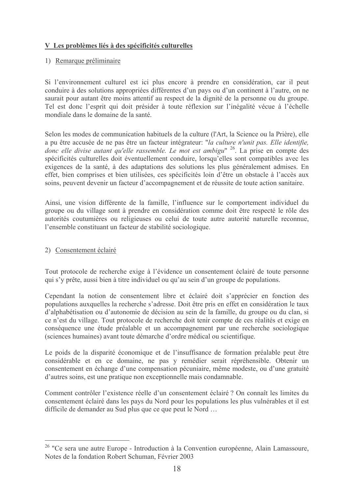# V Les problèmes liés à des spécificités culturelles

# 1) Remarque préliminaire

Si l'environnement culturel est ici plus encore à prendre en considération, car il peut solutions appropriées différentes d'un pays ou d'un continent à l'autre, on ne saurait pour autant être moins attentif au respect de la dignité de la personne ou du groupe. Tel est donc l'esprit qui doit présider à toute réflexion sur l'inégalité vécue à l'échelle mondiale dans le domaine de la santé.

Selon les modes de communication habituels de la culture (l'Art, la Science ou la Prière), elle a pu être accusée de ne pas être un facteur intégrateur: "la culture n'unit pas. Elle identifie, donc elle divise autant qu'elle rassemble. Le mot est ambigu"  $^{26}$ . La prise en compte des spécificités culturelles doit éventuellement conduire, lorsqu'elles sont compatibles avec les exigences de la santé, à des adaptations des solutions les plus généralement admises. En effet, bien comprises et bien utilisées, ces spécificités loin d'être un obstacle à l'accès aux soins, peuvent devenir un facteur d'accompagnement et de réussite de toute action sanitaire.

Ainsi, une vision différente de la famille, l'influence sur le comportement individuel du eroupe ou du village sont à prendre en considération comme doit être respecté le rôle des autorités coutumières ou religieuses ou celui de toute autre autorité naturelle reconnue, l'ensemble constituant un facteur de stabilité sociologique.

# 2) Consentement éclairé

Tout protocole de recherche exige à l'évidence un consentement éclairé de toute personne qui s'y prête, aussi bien à titre individuel ou qu'au sein d'un groupe de populations.

Cependant la notion de consentement libre et éclairé doit s'apprécier en fonction des bopulations auxquelles la recherche s'adresse. Doit être pris en effet en considération le taux d'alphabétisation ou d'autonomie de décision au sein de la famille, du groupe ou du clan, si  $\alpha$  e n'est du village. Tout protocole de recherche doit tenir compte de ces réalités et exige en  $\overline{\text{conséquence}}$  une étude préalable et un accompagnement par une recherche sociologique (sciences humaines) avant toute démarche d'ordre médical ou scientifique.

Le poids de la disparité économique et de l'insuffisance de formation préalable peut être  $\overline{1}$ considérable et en ce domaine, ne pas y remédier serait répréhensible. Obtenir un  $\alpha$ consentement en échange d'une compensation pécuniaire, même modeste, ou d'une gratuité d'autres soins, est une pratique non exceptionnelle mais condamnable.

Comment contrôler l'existence réelle d'un consentement éclairé ? On connaît les limites du  $\alpha$  consentement éclairé dans les pays du Nord pour les populations les plus vulnérables et il est difficile de demander au Sud plus que ce que peut le Nord ...

<sup>&</sup>lt;sup>26</sup> "Ce sera une autre Europe - Introduction à la Convention européenne, Alain Lamassoure, Notes de la fondation Robert Schuman, Février 2003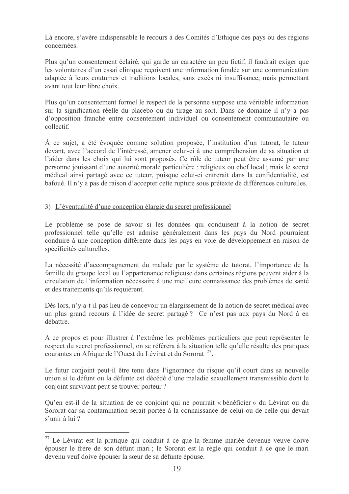Là encore, s'avère indispensable le recours à des Comités d'Ethique des pays ou des régions concernées.

Plus qu'un consentement éclairé, qui garde un caractère un peu fictif, il faudrait exiger que les volontaires d'un essai clinique reçoivent une information fondée sur une communication adaptée à leurs coutumes et traditions locales, sans excès ni insuffisance, mais permettant avant tout leur libre choix.

Flus qu'un consentement formel le respect de la personne suppose une véritable information sur la signification réelle du placebo ou du tirage au sort. Dans ce domaine il n'y a pas d'opposition franche entre consentement individuel ou consentement communautaire ou collectif

 $\dot{A}$  ce sujet, a été évoquée comme solution proposée, l'institution d'un tutorat, le tuteur devant, avec l'accord de l'intéressé, amener celui-ci à une compréhension de sa situation et l'aider dans les choix qui lui sont proposés. Ce rôle de tuteur peut être assumé par une personne jouissant d'une autorité morale particulière : religieux ou chef local ; mais le secret médical ainsi partagé avec ce tuteur, puisque celui-ci entrerait dans la confidentialité, est bafoué. Il n'y a pas de raison d'accepter cette rupture sous prétexte de différences culturelles.

#### 3) L'éventualité d'une conception élargie du secret professionnel

Le problème se pose de savoir si les données qui conduisent à la notion de secret professionnel telle qu'elle est admise généralement dans les pays du Nord pourraient conduire à une conception différente dans les pays en voie de développement en raison de spécificités culturelles.

La nécessité d'accompagnement du malade par le système de tutorat, l'importance de la famille du groupe local ou l'appartenance religieuse dans certaines régions peuvent aider à la  $s$ irculation de l'information nécessaire à une meilleure connaissance des problèmes de santé et des traitements qu'ils requièrent.

Dès lors, n'y a-t-il pas lieu de concevoir un élargissement de la notion de secret médical avec un plus grand recours à l'idée de secret partagé ? Ce n'est pas aux pays du Nord à en débattre

A ce propos et pour illustrer à l'extrême les problèmes particuliers que peut représenter le respect du secret professionnel, on se référera à la situation telle qu'elle résulte des pratiques courantes en Afrique de l'Ouest du Lévirat et du Sororat  $2^7$ .

Le futur conjoint peut-il être tenu dans l'ignorance du risque qu'il court dans sa nouvelle union si le défunt ou la défunte est décédé d'une maladie sexuellement transmissible dont le conjoint survivant peut se trouver porteur?

Qu'en est-il de la situation de ce conjoint qui ne pourrait « bénéficier » du Lévirat ou du Sororat car sa contamination serait portée à la connaissance de celui ou de celle qui devait  $\frac{1}{2}$ unir à lui ?

<sup>&</sup>lt;sup>27</sup> Le Lévirat est la pratique qui conduit à ce que la femme mariée devenue veuve doive épouser le frère de son défunt mari ; le Sororat est la règle qui conduit à ce que le mari devenu veuf doive épouser la sœur de sa défunte épouse.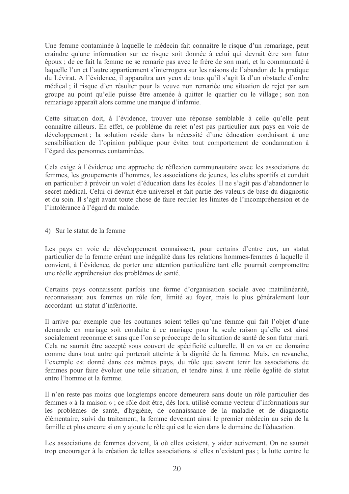Une femme contaminée à laquelle le médecin fait connaître le risque d'un remariage, peut craindre qu'une information sur ce risque soit donnée à celui qui devrait être son futur époux ; de ce fait la femme ne se remarie pas avec le frère de son mari, et la communauté à laquelle l'un et l'autre appartiennent s'interrogera sur les raisons de l'abandon de la pratique du Lévirat. A l'évidence, il apparaîtra aux yeux de tous qu'il s'agit là d'un obstacle d'ordre médical; il risque d'en résulter pour la veuve non remariée une situation de rejet par son groupe au point qu'elle puisse être amenée à quitter le quartier ou le village; son non remariage apparaît alors comme une marque d'infamie.

Cette situation doit, à l'évidence, trouver une réponse semblable à celle qu'elle peut connaître ailleurs. En effet, ce problème du rejet n'est pas particulier aux pays en voie de développement ; la solution réside dans la nécessité d'une éducation conduisant à une sensibilisation de l'opinion publique pour éviter tout comportement de condamnation à l'égard des personnes contaminées.

Cela exige à l'évidence une approche de réflexion communautaire avec les associations de femmes, les groupements d'hommes, les associations de jeunes, les clubs sportifs et conduit en particulier à prévoir un volet d'éducation dans les écoles. Il ne s'agit pas d'abandonner le secret médical. Celui-ci devrait être universel et fait partie des valeurs de base du diagnostic et du soin. Il s'agit avant toute chose de faire reculer les limites de l'incompréhension et de l'intolérance à l'égard du malade.

#### 4) Sur le statut de la femme

Les pays en voie de développement connaissent, pour certains d'entre eux, un statut particulier de la femme créant une inégalité dans les relations hommes-femmes à laquelle il convient, à l'évidence, de porter une attention particulière tant elle pourrait compromettre une réelle appréhension des problèmes de santé.

Certains pays connaissent parfois une forme d'organisation sociale avec matrilinéarité, reconnaissant aux femmes un rôle fort, limité au foyer, mais le plus généralement leur accordant un statut d'infériorité.

Il arrive par exemple que les coutumes soient telles qu'une femme qui fait l'objet d'une demande en mariage soit conduite à ce mariage pour la seule raison qu'elle est ainsi socialement reconnue et sans que l'on se préoccupe de la situation de santé de son futur mari. Cela ne saurait être accepté sous couvert de spécificité culturelle. Il en va en ce domaine comme dans tout autre qui porterait atteinte à la dignité de la femme. Mais, en revanche, l'exemple est donné dans ces mêmes pays, du rôle que savent tenir les associations de femmes pour faire évoluer une telle situation, et tendre ainsi à une réelle égalité de statut entre l'homme et la femme.

Il n'en reste pas moins que longtemps encore demeurera sans doute un rôle particulier des femmes « à la maison »; ce rôle doit être, dès lors, utilisé comme vecteur d'informations sur les problèmes de santé, d'hygiène, de connaissance de la maladie et de diagnostic élémentaire, suivi du traitement, la femme devenant ainsi le premier médecin au sein de la famille et plus encore si on y ajoute le rôle qui est le sien dans le domaine de l'éducation.

Les associations de femmes doivent, là où elles existent, y aider activement. On ne saurait trop encourager à la création de telles associations si elles n'existent pas ; la lutte contre le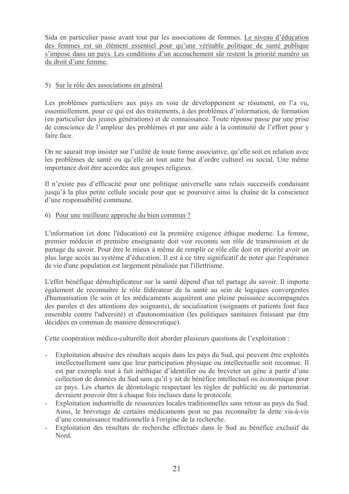Sida en particulier passe avant tout par les associations de femmes. Le niveau d'éducation des femmes est un élément essentiel pour qu'une véritable politique de santé publique s'impose dans un pays. Les conditions d'un accouchement sûr restent la priorité numéro un du droit d'une femme.

#### 5) Sur le rôle des associations en général.

Les problèmes particuliers aux pays en voie de développement se résument, on l'a vu, essentiellement, pour ce qui est des traitements, à des problèmes d'information, de formation (en particulier des jeunes générations) et de connaissance. Toute réponse passe par une prise de conscience de l'ampleur des problèmes et par une aide à la continuité de l'effort pour y faire face

(on ne saurait trop insister sur l'utilité de toute forme associative, qu'elle soit en relation avec les problèmes de santé ou qu'elle ait tout autre but d'ordre culturel ou social. Une même importance doit être accordée aux groupes religieux.

Il n'existe pas d'efficacité pour une politique universelle sans relais successifs conduisant jusqu'à la plus petite cellule sociale pour que se poursuive ainsi la chaîne de la conscience d'une responsabilité commune.

### 6) Pour une meilleure approche du bien commun?

L'information (et donc l'éducation) est la première exigence éthique moderne. La femme, premier médecin et première enseignante doit voir reconnu son rôle de transmission et de partage du savoir. Pour être le mieux à même de remplir ce rôle elle doit en priorité avoir un plus large accès au système d'éducation. Il est à ce titre significatif de noter que l'espérance de vie d'une population est largement pénalisée par l'illettrisme.

L'effet bénéfique démultiplicateur sur la santé dépend d'un tel partage du savoir. Il importe également de reconnaître le rôle fédérateur de la santé au sein de logiques convergentes d'humanisation (le soin et les médicaments acquièrent une pleine puissance accompagnées des paroles et des attentions des soignants), de socialisation (soignants et patients font face ensemble contre l'adversité) et d'autonomisation (les politiques sanitaires finissant par être décidées en commun de manière démocratique).

Cette coopération médico-culturelle doit aborder plusieurs questions de l'exploitation :

- Exploitation abusive des résultats acquis dans les pays du Sud, qui peuvent être exploités intellectuellement sans que leur participation physique ou intellectuelle soit reconnue. Il est par exemple tout à fait inéthique d'identifier ou de breveter un gène à partir d'une  $\alpha$ <sup>3</sup>). collection de données du Sud sans qu'il y ait de bénéfice intellectuel ou économique pour ce pays. Les chartes de déontologie respectant les règles de publicité ou de partenariat devraient pouvoir être à chaque fois incluses dans le protocole.
- Exploitation industrielle de ressources locales traditionnelles sans retour au pays du Sud. Ainsi, le brevetage de certains médicaments peut ne pas reconnaître la dette vis-à-vis d'une connaissance traditionnelle à l'origine de la recherche.
- Exploitation des résultats de recherche effectués dans le Sud au bénéfice exclusif du Nord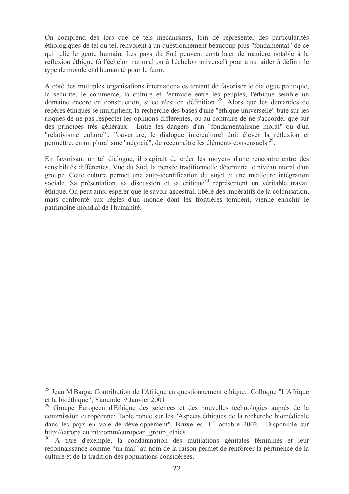On comprend dès lors que de tels mécanismes, loin de représenter des particularités éthologiques de tel ou tel, renvoient à un questionnement beaucoup plus "fondamental" de ce qui relie le genre humain. Les pays du Sud peuvent contribuer de manière notable à la réflexion éthique (à l'échelon national ou à l'échelon universel) pour ainsi aider à définir le type de monde et d'humanité pour le futur.

A côté des multiples organisations internationales tentant de favoriser le dialogue politique, la sécurité, le commerce, la culture et l'entraide entre les peuples, l'éthique semble un domaine encore en construction, si ce n'est en définition  $28^{\circ}$ . Alors que les demandes de repères éthiques se multiplient, la recherche des bases d'une "éthique universelle" bute sur les risques de ne pas respecter les opinions différentes, ou au contraire de ne s'accorder que sur des principes très généraux. Entre les dangers d'un "fondamentalisme moral" ou d'un "relativisme culturel", l'ouverture, le dialogue interculturel doit élever la réflexion et permettre, en un pluralisme "négocié", de reconnaître les éléments consensuels<sup>29</sup>.

En favorisant un tel dialogue, il s'agirait de créer les moyens d'une rencontre entre des sensibilités différentes. Vue du Sud, la pensée traditionnelle détermine le niveau moral d'un groupe. Cette culture permet une auto-identification du sujet et une meilleure intégration sociale. Sa présentation, sa discussion et sa critique<sup>30</sup> représentent un véritable travail éthique. On peut ainsi espérer que le savoir ancestral, libéré des impératifs de la colonisation, mais confronté aux règles d'un monde dont les frontières tombent, vienne enrichir le patrimoine mondial de l'humanité.

<sup>&</sup>lt;sup>28</sup> Jean M'Barga: Contribution de l'Afrique au questionnement éthique. Colloque "L'Afrique et la bioéthique", Yaoundé, 9 Janvier 2001

<sup>&</sup>lt;sup>29</sup> Groupe Européen d'Ethique des sciences et des nouvelles technologies auprès de la commission européenne: Table ronde sur les "Aspects éthiques de la recherche biomédicale dans les pays en voie de développement", Bruxelles, 1<sup>er</sup> octobre 2002. Disponible sur http://europa.eu.int/comm/european group ethics

<sup>&</sup>lt;sup>30</sup> A titre d'exemple, la condamnation des mutilations génitales féminines et leur reconnaissance comme "un mal" au nom de la raison permet de renforcer la pertinence de la culture et de la tradition des populations considérées.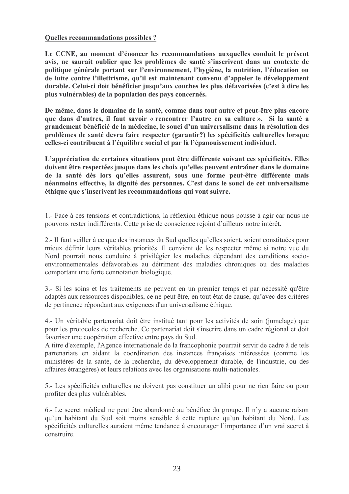#### **Quelles recommandations possibles ?**

Le CCNE, au moment d'énoncer les recommandations auxquelles conduit le présent avis, ne saurait oublier que les problèmes de santé s'inscrivent dans un contexte de politique générale portant sur l'environnement, l'hygiène, la nutrition, l'éducation ou de lutte contre l'illettrisme, qu'il est maintenant convenu d'appeler le développement durable. Celui-ci doit bénéficier jusqu'aux couches les plus défavorisées (c'est à dire les plus vulnérables) de la population des pays concernés.

De même, dans le domaine de la santé, comme dans tout autre et peut-être plus encore que dans d'autres, il faut savoir « rencontrer l'autre en sa culture ». Si la santé a grandement bénéficié de la médecine, le souci d'un universalisme dans la résolution des problèmes de santé devra faire respecter (garantir?) les spécificités culturelles lorsque celles-ci contribuent à l'équilibre social et par là l'épanouissement individuel.

L'appréciation de certaines situations peut être différente suivant ces spécificités. Elles doivent être respectées jusque dans les choix qu'elles peuvent entraîner dans le domaine de la santé dès lors qu'elles assurent, sous une forme peut-être différente mais néanmoins effective, la dignité des personnes. C'est dans le souci de cet universalisme éthique que s'inscrivent les recommandations qui vont suivre.

1.- Face à ces tensions et contradictions, la réflexion éthique nous pousse à agir car nous ne pouvons rester indifférents. Cette prise de conscience rejoint d'ailleurs notre intérêt.

2.- Il faut veiller à ce que des instances du Sud quelles qu'elles soient, soient constituées pour mieux définir leurs véritables priorités. Il convient de les respecter même si notre vue du Nord pourrait nous conduire à privilégier les maladies dépendant des conditions socioenvironnementales défavorables au détriment des maladies chroniques ou des maladies comportant une forte connotation biologique.

3.- Si les soins et les traitements ne peuvent en un premier temps et par nécessité qu'être adaptés aux ressources disponibles, ce ne peut être, en tout état de cause, qu'avec des critères de pertinence répondant aux exigences d'un universalisme éthique.

4.- Un véritable partenariat doit être institué tant pour les activités de soin (jumelage) que pour les protocoles de recherche. Ce partenariat doit s'inscrire dans un cadre régional et doit favoriser une coopération effective entre pays du Sud.

A titre d'exemple, l'Agence internationale de la francophonie pourrait servir de cadre à de tels partenariats en aidant la coordination des instances françaises intéressées (comme les ministères de la santé, de la recherche, du développement durable, de l'industrie, ou des affaires étrangères) et leurs relations avec les organisations multi-nationales.

5.- Les spécificités culturelles ne doivent pas constituer un alibi pour ne rien faire ou pour profiter des plus vulnérables.

6.- Le secret médical ne peut être abandonné au bénéfice du groupe. Il n'y a aucune raison qu'un habitant du Sud soit moins sensible à cette rupture qu'un habitant du Nord. Les spécificités culturelles auraient même tendance à encourager l'importance d'un vrai secret à construire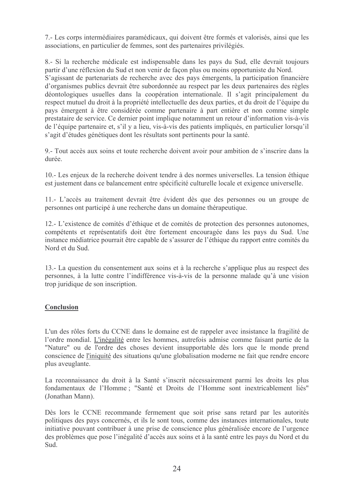7.- Les corps intermédiaires paramédicaux, qui doivent être formés et valorisés, ainsi que les associations, en particulier de femmes, sont des partenaires privilégiés.

8.- Si la recherche médicale est indispensable dans les pays du Sud, elle devrait toujours partir d'une réflexion du Sud et non venir de façon plus ou moins opportuniste du Nord. S'agissant de partenariats de recherche avec des pays émergents, la participation financière d'organismes publics devrait être subordonnée au respect par les deux partenaires des règles déontologiques usuelles dans la coopération internationale. Il s'agit principalement du respect mutuel du droit à la propriété intellectuelle des deux parties, et du droit de l'équipe du pays émergent à être considérée comme partenaire à part entière et non comme simple prestataire de service. Ce dernier point implique notamment un retour d'information vis-à-vis de l'équipe partenaire et, s'il y a lieu, vis-à-vis des patients impliqués, en particulier lorsqu'il s'agit d'études génétiques dont les résultats sont pertinents pour la santé.

9.- Tout accès aux soins et toute recherche doivent avoir pour ambition de s'inscrire dans la durée

10.- Les enjeux de la recherche doivent tendre à des normes universelles. La tension éthique est justement dans ce balancement entre spécificité culturelle locale et exigence universelle.

11.- L'accès au traitement devrait être évident dès que des personnes ou un groupe de personnes ont participé à une recherche dans un domaine thérapeutique.

12.- L'existence de comités d'éthique et de comités de protection des personnes autonomes, compétents et représentatifs doit être fortement encouragée dans les pays du Sud. Une instance médiatrice pourrait être capable de s'assurer de l'éthique du rapport entre comités du Nord et du Sud

13.- La question du consentement aux soins et à la recherche s'applique plus au respect des personnes, à la lutte contre l'indifférence vis-à-vis de la personne malade qu'à une vision trop juridique de son inscription.

# Conclusion

L'un des rôles forts du CCNE dans le domaine est de rappeler avec insistance la fragilité de l'ordre mondial. L'inégalité entre les hommes, autrefois admise comme faisant partie de la "Nature" ou de l'ordre des choses devient insupportable dès lors que le monde prend conscience de l'iniquité des situations qu'une globalisation moderne ne fait que rendre encore plus aveuglante.

La reconnaissance du droit à la Santé s'inscrit nécessairement parmi les droits les plus fondamentaux de l'Homme ; "Santé et Droits de l'Homme sont inextricablement liés" (Jonathan Mann).

Dès lors le CCNE recommande fermement que soit prise sans retard par les autorités politiques des pays concernés, et ils le sont tous, comme des instances internationales, toute initiative pouvant contribuer à une prise de conscience plus généralisée encore de l'urgence des problèmes que pose l'inégalité d'accès aux soins et à la santé entre les pays du Nord et du Sud